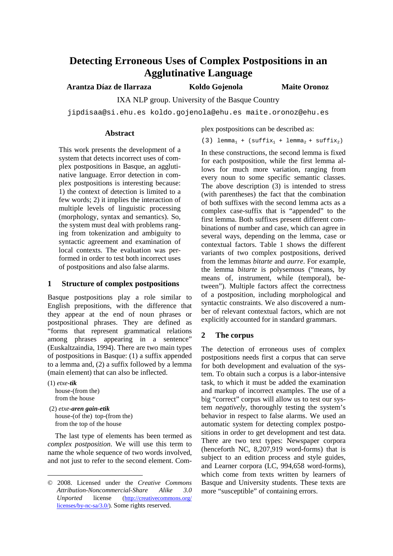# **Detecting Erroneous Uses of Complex Postpositions in an Agglutinative Language**

**Arantza Díaz de Ilarraza Koldo Gojenola Maite Oronoz**

IXA NLP group. University of the Basque Country

jipdisaa@si.ehu.es koldo.gojenola@ehu.es maite.oronoz@ehu.es

#### **Abstract**

plex postpositions can be described as:

(3) lemma<sub>1</sub> + (suffix<sub>1</sub> + lemma<sub>2</sub> + suffix<sub>2</sub>)

This work presents the development of a system that detects incorrect uses of complex postpositions in Basque, an agglutinative language. Error detection in complex postpositions is interesting because: 1) the context of detection is limited to a few words; 2) it implies the interaction of multiple levels of linguistic processing (morphology, syntax and semantics). So, the system must deal with problems ranging from tokenization and ambiguity to syntactic agreement and examination of local contexts. The evaluation was performed in order to test both incorrect uses of postpositions and also false alarms.<sup>1</sup>

## **1 Structure of complex postpositions**

Basque postpositions play a role similar to English prepositions, with the difference that they appear at the end of noun phrases or postpositional phrases. They are defined as "forms that represent grammatical relations among phrases appearing in a sentence" (Euskaltzaindia, 1994). There are two main types of postpositions in Basque: (1) a suffix appended to a lemma and, (2) a suffix followed by a lemma (main element) that can also be inflected.

(1) *etxe-tik* house-(from the) from the house

 (2) *etxe-aren gain-etik* house-(of the) top-(from the) from the top of the house

The last type of elements has been termed as *complex postposition*. We will use this term to name the whole sequence of two words involved, and not just to refer to the second element. Com-

In these constructions, the second lemma is fixed for each postposition, while the first lemma allows for much more variation, ranging from every noun to some specific semantic classes. The above description (3) is intended to stress (with parentheses) the fact that the combination of both suffixes with the second lemma acts as a complex case-suffix that is "appended" to the first lemma. Both suffixes present different combinations of number and case, which can agree in several ways, depending on the lemma, case or contextual factors. Table 1 shows the different variants of two complex postpositions, derived from the lemmas *bitarte* and *aurre*. For example, the lemma *bitarte* is polysemous ("means, by means of, instrument, while (temporal), between"). Multiple factors affect the correctness of a postposition, including morphological and syntactic constraints. We also discovered a number of relevant contextual factors, which are not explicitly accounted for in standard grammars.

# **2 The corpus**

The detection of erroneous uses of complex postpositions needs first a corpus that can serve for both development and evaluation of the system. To obtain such a corpus is a labor-intensive task, to which it must be added the examination and markup of incorrect examples. The use of a big "correct" corpus will allow us to test our system *negatively*, thoroughly testing the system's behavior in respect to false alarms. We used an automatic system for detecting complex postpositions in order to get development and test data. There are two text types: Newspaper corpora (henceforth NC, 8,207,919 word-forms) that is subject to an edition process and style guides, and Learner corpora (LC, 994,658 word-forms), which come from texts written by learners of Basque and University students. These texts are more "susceptible" of containing errors.

<sup>© 2008.</sup> Licensed under the *Creative Commons Attribution-Noncommercial-Share Alike 3.0 Unported* license (http://creativecommons.org/ licenses/by-nc-sa/3.0/). Some rights reserved.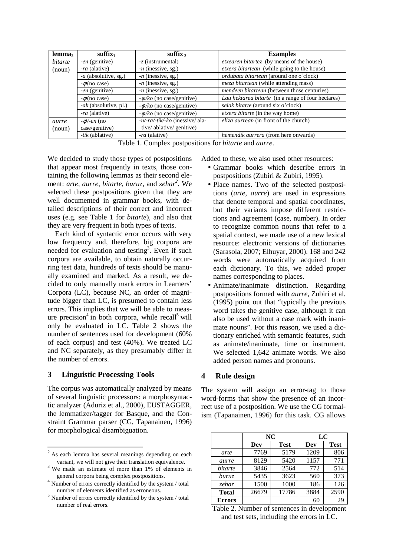| lemma,  | $suffix_1$                   | suffix $\lambda$                | <b>Examples</b>                                    |
|---------|------------------------------|---------------------------------|----------------------------------------------------|
| bitarte | -en (genitive)               | -z (instrumental)               | etxearen bitartez (by means of the house)          |
| (noun)  | <i>ra</i> (alative)          | $-n$ (inessive, sg.)            | etxera bitartean (while going to the house)        |
|         | - <i>a</i> (absolutive, sg.) | $-n$ (inessive, sg.)            | ordubata bitartean (around one o'clock)            |
|         | $-\phi$ (no case)            | $-n$ (inessive, sg.)            | <i>meza bitartean</i> (while attending mass)       |
|         | -en (genitive)               | $-n$ (inessive, sg.)            | mendeen bitartean (between those centuries)        |
|         | $-\phi$ (no case)            | $-\phi/ko$ (no case/genitive)   | Lau hektarea bitarte (in a range of four hectares) |
|         | -ak (absolutive, pl.)        | $-\phi/ko$ (no case/genitive)   | seiak bitarte (around six o'clock)                 |
|         | <i>ra</i> (alative)          | $-\phi/ko$ (no case/genitive)   | etxera bitarte (in the way home)                   |
| aurre   | $-\phi$ /-en (no             | -n/-ra/-tik/-ko (inessive/ ala- | <i>eliza aurrean</i> (in front of the church)      |
| (noun)  | case/genitive)               | tive/ablative/genitive)         |                                                    |
|         | -tik (ablative)              | <i>ra</i> (alative)             | <i>hemendik aurrera</i> (from here onwards)        |

Table 1. Complex postpositions for *bitarte* and *aurre*.

We decided to study those types of postpositions that appear most frequently in texts, those containing the following lemmas as their second element: *arte*, *aurre*, *bitarte*, *buruz*, and *zehar<sup>2</sup>* . We selected these postpositions given that they are well documented in grammar books, with detailed descriptions of their correct and incorrect uses (e.g. see Table 1 for *bitarte*), and also that they are very frequent in both types of texts.

Each kind of syntactic error occurs with very low frequency and, therefore, big corpora are needed for evaluation and testing<sup>3</sup>. Even if such corpora are available, to obtain naturally occurring test data, hundreds of texts should be manually examined and marked. As a result, we decided to only manually mark errors in Learners' Corpora (LC), because NC, an order of magnitude bigger than LC, is presumed to contain less errors. This implies that we will be able to measure precision<sup>4</sup> in both corpora, while recall<sup>5</sup> will only be evaluated in LC. Table 2 shows the number of sentences used for development (60% of each corpus) and test (40%). We treated LC and NC separately, as they presumably differ in the number of errors.

#### **3 Linguistic Processing Tools**

The corpus was automatically analyzed by means of several linguistic processors: a morphosyntactic analyzer (Aduriz et al., 2000), EUSTAGGER, the lemmatizer/tagger for Basque, and the Constraint Grammar parser (CG, Tapanainen, 1996) for morphological disambiguation.

Added to these, we also used other resources:

- Grammar books which describe errors in postpositions (Zubiri & Zubiri, 1995).
- Place names. Two of the selected postpositions (*arte*, *aurre*) are used in expressions that denote temporal and spatial coordinates, but their variants impose different restrictions and agreement (case, number). In order to recognize common nouns that refer to a spatial context, we made use of a new lexical resource: electronic versions of dictionaries (Sarasola, 2007; Elhuyar, 2000). 168 and 242 words were automatically acquired from each dictionary. To this, we added proper names corresponding to places.
- Animate/inanimate distinction. Regarding postpositions formed with *aurre*, Zubiri et al. (1995) point out that "typically the previous word takes the genitive case, although it can also be used without a case mark with inanimate nouns". For this reason, we used a dictionary enriched with semantic features, such as animate/inanimate, time or instrument. We selected 1,642 animate words. We also added person names and pronouns.

## **4 Rule design**

The system will assign an error-tag to those word-forms that show the presence of an incorrect use of a postposition. We use the CG formalism (Tapanainen, 1996) for this task. CG allows

|               | NC    |             | LC   |             |
|---------------|-------|-------------|------|-------------|
|               | Dev   | <b>Test</b> | Dev  | <b>Test</b> |
| arte          | 7769  | 5179        | 1209 | 806         |
| aurre         | 8129  | 5420        | 1157 | 771         |
| bitarte       | 3846  | 2564        | 772  | 514         |
| buruz         | 5435  | 3623        | 560  | 373         |
| zehar         | 1500  | 1000        | 186  | 126         |
| <b>Total</b>  | 26679 | 17786       | 3884 | 2590        |
| <b>Errors</b> |       |             | 60   | 29          |

Table 2. Number of sentences in development and test sets, including the errors in LC.

 $2^2$  As each lemma has several meanings depending on each variant, we will not give their translation equivalence.

<sup>&</sup>lt;sup>3</sup> We made an estimate of more than 1% of elements in general corpora being complex postpositions.

<sup>4</sup> Number of errors correctly identified by the system / total number of elements identified as erroneous.

 $5$  Number of errors correctly identified by the system  $/$  total number of real errors.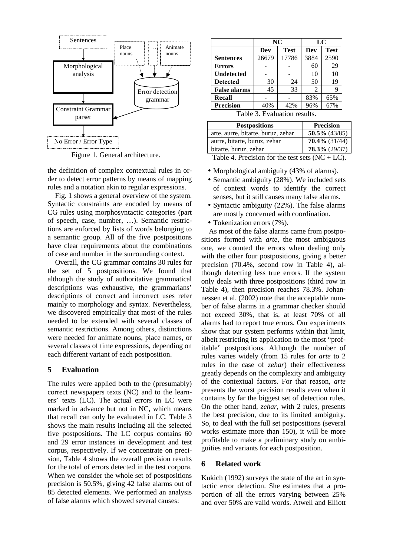

Figure 1. General architecture.

the definition of complex contextual rules in order to detect error patterns by means of mapping rules and a notation akin to regular expressions.

Fig. 1 shows a general overview of the system. Syntactic constraints are encoded by means of CG rules using morphosyntactic categories (part of speech, case, number, …). Semantic restrictions are enforced by lists of words belonging to a semantic group. All of the five postpositions have clear requirements about the combinations of case and number in the surrounding context.

Overall, the CG grammar contains 30 rules for the set of 5 postpositions. We found that although the study of authoritative grammatical descriptions was exhaustive, the grammarians' descriptions of correct and incorrect uses refer mainly to morphology and syntax. Nevertheless, we discovered empirically that most of the rules needed to be extended with several classes of semantic restrictions. Among others, distinctions were needed for animate nouns, place names, or several classes of time expressions, depending on each different variant of each postposition.

#### **5 Evaluation**

The rules were applied both to the (presumably) correct newspapers texts (NC) and to the learners' texts (LC). The actual errors in LC were marked in advance but not in NC, which means that recall can only be evaluated in LC. Table 3 shows the main results including all the selected five postpositions. The LC corpus contains 60 and 29 error instances in development and test corpus, respectively. If we concentrate on precision, Table 4 shows the overall precision results for the total of errors detected in the test corpora. When we consider the whole set of postpositions precision is 50.5%, giving 42 false alarms out of 85 detected elements. We performed an analysis of false alarms which showed several causes:

|                     | NC    |             | LC   |             |
|---------------------|-------|-------------|------|-------------|
|                     | Dev   | <b>Test</b> | Dev  | <b>Test</b> |
| <b>Sentences</b>    | 26679 | 17786       | 3884 | 2590        |
| <b>Errors</b>       |       |             | 60   | 29          |
| <b>Undetected</b>   |       |             | 10   | 10          |
| <b>Detected</b>     | 30    | 24          | 50   | 19          |
| <b>False alarms</b> | 45    | 33          | 2    |             |
| Recall              |       |             | 83%  | 65%         |
| <b>Precision</b>    | 40%   | 42%         | 96%  | 67%         |

Table 3. Evaluation results.

| <b>Postpositions</b>               | <b>Precision</b> |
|------------------------------------|------------------|
| arte, aurre, bitarte, buruz, zehar | $50.5\%$ (43/85) |
| aurre, bitarte, buruz, zehar       | $70.4\%$ (31/44) |
| bitarte, buruz, zehar              | $78.3\%$ (29/37) |

Table 4. Precision for the test sets  $(NC + LC)$ .

- Morphological ambiguity (43% of alarms).
- Semantic ambiguity (28%). We included sets of context words to identify the correct senses, but it still causes many false alarms.
- Syntactic ambiguity (22%). The false alarms are mostly concerned with coordination.
- Tokenization errors (7%).

As most of the false alarms came from postpositions formed with *arte*, the most ambiguous one, we counted the errors when dealing only with the other four postpositions, giving a better precision (70.4%, second row in Table 4), although detecting less true errors. If the system only deals with three postpositions (third row in Table 4), then precision reaches 78.3%. Johannessen et al. (2002) note that the acceptable number of false alarms in a grammar checker should not exceed 30%, that is, at least 70% of all alarms had to report true errors. Our experiments show that our system performs within that limit, albeit restricting its application to the most "profitable" postpositions. Although the number of rules varies widely (from 15 rules for *arte* to 2 rules in the case of *zehar*) their effectiveness greatly depends on the complexity and ambiguity of the contextual factors. For that reason, *arte* presents the worst precision results even when it contains by far the biggest set of detection rules. On the other hand, *zehar*, with 2 rules, presents the best precision, due to its limited ambiguity. So, to deal with the full set postpositions (several works estimate more than 150), it will be more profitable to make a preliminary study on ambiguities and variants for each postposition.

#### **6 Related work**

Kukich (1992) surveys the state of the art in syntactic error detection. She estimates that a proportion of all the errors varying between 25% and over 50% are valid words. Atwell and Elliott